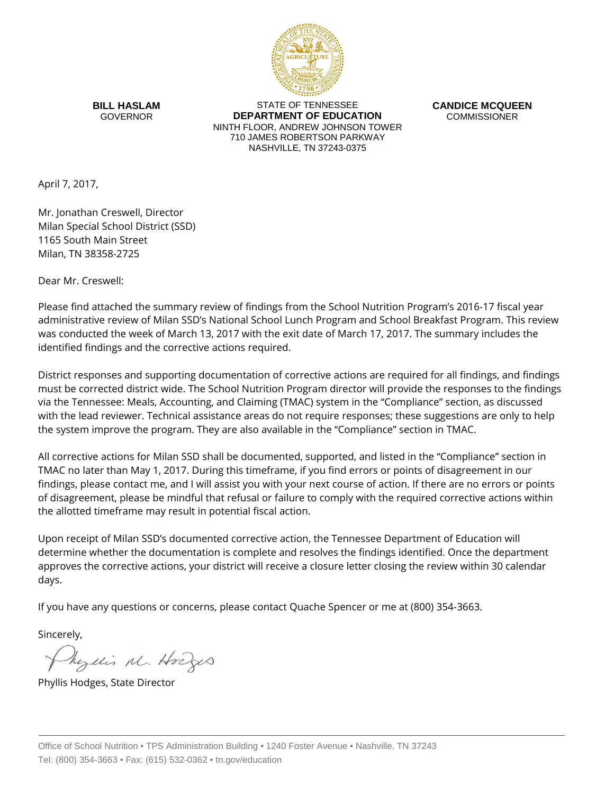

**BILL HASLAM** GOVERNOR

STATE OF TENNESSEE **DEPARTMENT OF EDUCATION** NINTH FLOOR, ANDREW JOHNSON TOWER 710 JAMES ROBERTSON PARKWAY NASHVILLE, TN 37243-0375

**CANDICE MCQUEEN** COMMISSIONER

April 7, 2017,

Mr. Jonathan Creswell, Director Milan Special School District (SSD) 1165 South Main Street Milan, TN 38358-2725

Dear Mr. Creswell:

Please find attached the summary review of findings from the School Nutrition Program's 2016-17 fiscal year administrative review of Milan SSD's National School Lunch Program and School Breakfast Program. This review was conducted the week of March 13, 2017 with the exit date of March 17, 2017. The summary includes the identified findings and the corrective actions required.

District responses and supporting documentation of corrective actions are required for all findings, and findings must be corrected district wide. The School Nutrition Program director will provide the responses to the findings via the Tennessee: Meals, Accounting, and Claiming (TMAC) system in the "Compliance" section, as discussed with the lead reviewer. Technical assistance areas do not require responses; these suggestions are only to help the system improve the program. They are also available in the "Compliance" section in TMAC.

All corrective actions for Milan SSD shall be documented, supported, and listed in the "Compliance" section in TMAC no later than May 1, 2017. During this timeframe, if you find errors or points of disagreement in our findings, please contact me, and I will assist you with your next course of action. If there are no errors or points of disagreement, please be mindful that refusal or failure to comply with the required corrective actions within the allotted timeframe may result in potential fiscal action.

Upon receipt of Milan SSD's documented corrective action, the Tennessee Department of Education will determine whether the documentation is complete and resolves the findings identified. Once the department approves the corrective actions, your district will receive a closure letter closing the review within 30 calendar days.

If you have any questions or concerns, please contact Quache Spencer or me at (800) 354-3663.

Sincerely,

Myllis M. Hodges

Phyllis Hodges, State Director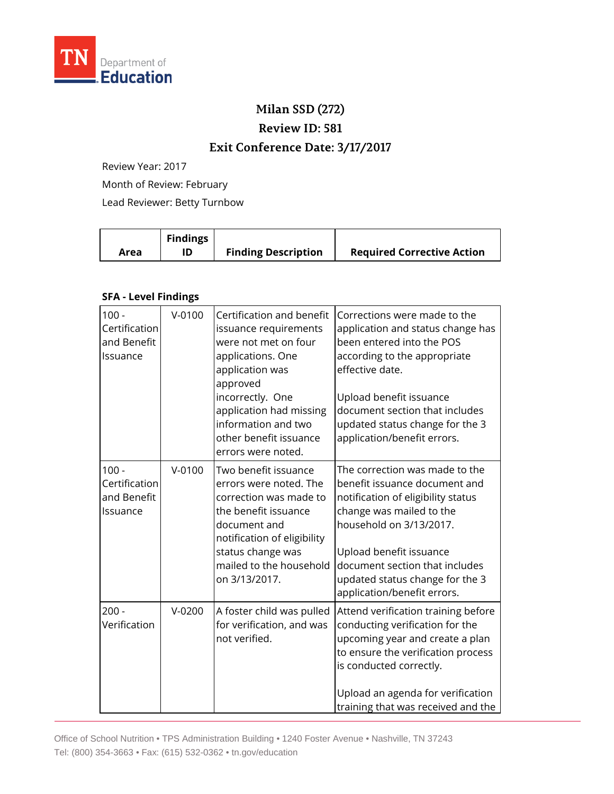

## **Milan SSD (272)**

**Review ID: 581**

## **Exit Conference Date: 3/17/2017**

Review Year: 2017

Month of Review: February

Lead Reviewer: Betty Turnbow

|      | <b>Findings</b> |                            |                                   |
|------|-----------------|----------------------------|-----------------------------------|
| Area |                 | <b>Finding Description</b> | <b>Required Corrective Action</b> |

## **SFA - Level Findings**

| $100 -$                                             | $V - 0100$ |                                                                                                                                                                                                                                                      |                                                                                                                                                                                                                                                                                             |
|-----------------------------------------------------|------------|------------------------------------------------------------------------------------------------------------------------------------------------------------------------------------------------------------------------------------------------------|---------------------------------------------------------------------------------------------------------------------------------------------------------------------------------------------------------------------------------------------------------------------------------------------|
| Certification<br>and Benefit<br>Issuance            |            | Certification and benefit<br>issuance requirements<br>were not met on four<br>applications. One<br>application was<br>approved<br>incorrectly. One<br>application had missing<br>information and two<br>other benefit issuance<br>errors were noted. | Corrections were made to the<br>application and status change has<br>been entered into the POS<br>according to the appropriate<br>effective date.<br>Upload benefit issuance<br>document section that includes<br>updated status change for the 3<br>application/benefit errors.            |
| $100 -$<br>Certification<br>and Benefit<br>Issuance | $V-0100$   | Two benefit issuance<br>errors were noted. The<br>correction was made to<br>the benefit issuance<br>document and<br>notification of eligibility<br>status change was<br>mailed to the household<br>on 3/13/2017.                                     | The correction was made to the<br>benefit issuance document and<br>notification of eligibility status<br>change was mailed to the<br>household on 3/13/2017.<br>Upload benefit issuance<br>document section that includes<br>updated status change for the 3<br>application/benefit errors. |
| $200 -$<br>Verification                             | $V-0200$   | A foster child was pulled<br>for verification, and was<br>not verified.                                                                                                                                                                              | Attend verification training before<br>conducting verification for the<br>upcoming year and create a plan<br>to ensure the verification process<br>is conducted correctly.<br>Upload an agenda for verification<br>training that was received and the                                       |